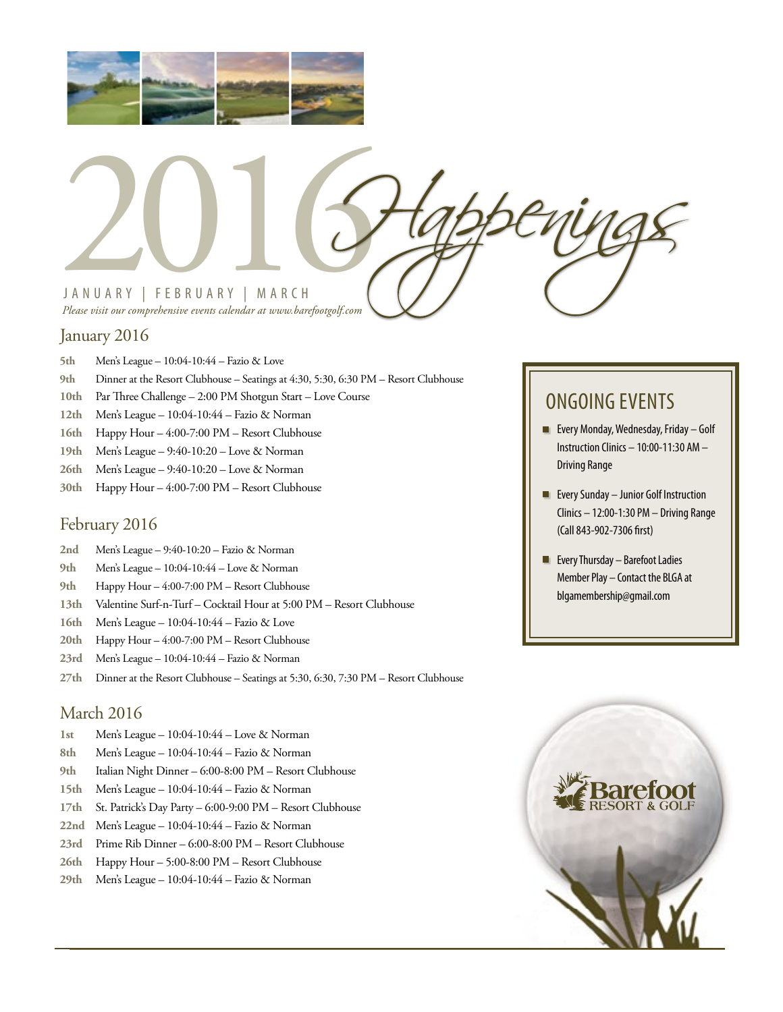



*Please visit our comprehensive events calendar at www.barefootgolf.com*

#### January 2016

- **5th** Men's League 10:04-10:44 Fazio & Love
- **9th** Dinner at the Resort Clubhouse Seatings at 4:30, 5:30, 6:30 PM Resort Clubhouse
- **10th** Par Three Challenge 2:00 PM Shotgun Start Love Course
- **12th** Men's League 10:04-10:44 Fazio & Norman
- **16th** Happy Hour 4:00-7:00 PM Resort Clubhouse
- **19th** Men's League 9:40-10:20 Love & Norman
- **26th** Men's League 9:40-10:20 Love & Norman
- **30th** Happy Hour 4:00-7:00 PM Resort Clubhouse

## February 2016

- **2nd** Men's League 9:40-10:20 Fazio & Norman
- **9th** Men's League 10:04-10:44 Love & Norman
- **9th** Happy Hour 4:00-7:00 PM Resort Clubhouse
- **13th** Valentine Surf-n-Turf Cocktail Hour at 5:00 PM Resort Clubhouse
- **16th** Men's League 10:04-10:44 Fazio & Love
- **20th** Happy Hour 4:00-7:00 PM Resort Clubhouse
- **23rd** Men's League 10:04-10:44 Fazio & Norman
- **27th** Dinner at the Resort Clubhouse Seatings at 5:30, 6:30, 7:30 PM Resort Clubhouse

#### March 2016

- **1st** Men's League 10:04-10:44 Love & Norman
- **8th** Men's League 10:04-10:44 Fazio & Norman
- **9th** Italian Night Dinner 6:00-8:00 PM Resort Clubhouse
- **15th** Men's League 10:04-10:44 Fazio & Norman
- **17th** St. Patrick's Day Party 6:00-9:00 PM Resort Clubhouse
- **22nd** Men's League 10:04-10:44 Fazio & Norman
- **23rd** Prime Rib Dinner 6:00-8:00 PM Resort Clubhouse
- **26th** Happy Hour 5:00-8:00 PM Resort Clubhouse
- **29th** Men's League 10:04-10:44 Fazio & Norman

## ONGOING EVENTS

- **Every Monday, Wednesday, Friday Golf** Instruction Clinics – 10:00-11:30 AM – Driving Range
- **Exery Sunday Junior Golf Instruction** Clinics – 12:00-1:30 PM – Driving Range (Call 843-902-7306 first)
- **Exery Thursday Barefoot Ladies** Member Play – Contact the BLGA at blgamembership@gmail.com